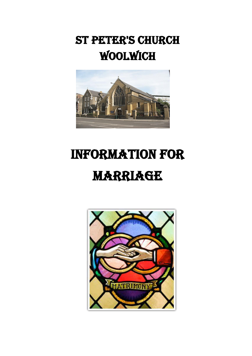ST PETER'S CHURCH **WOOLWICH** 



# INFORMATION FOR MARRIAGE

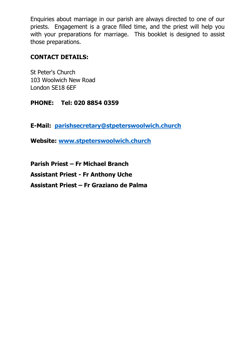Enquiries about marriage in our parish are always directed to one of our priests. Engagement is a grace filled time, and the priest will help you with your preparations for marriage. This booklet is designed to assist those preparations.

### **CONTACT DETAILS:**

St Peter's Church 103 Woolwich New Road London SE18 6EF

### **PHONE: Tel: 020 8854 0359**

**E-Mail: [parishsecretary@stpeterswoolwich.church](mailto:parishsecretary@stpeterswoolwich.church)** 

**Website: [www.stpeterswoolwich.church](http://www.stpeterswoolwich.church/)**

**Parish Priest – Fr Michael Branch Assistant Priest - Fr Anthony Uche Assistant Priest – Fr Graziano de Palma**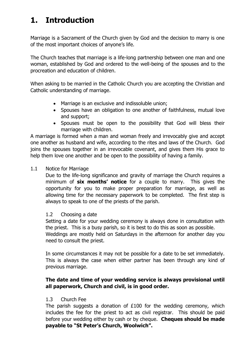# **1. Introduction**

Marriage is a Sacrament of the Church given by God and the decision to marry is one of the most important choices of anyone's life.

The Church teaches that marriage is a life-long partnership between one man and one woman, established by God and ordered to the well-being of the spouses and to the procreation and education of children.

When asking to be married in the Catholic Church you are accepting the Christian and Catholic understanding of marriage.

- Marriage is an exclusive and indissoluble union;
- Spouses have an obligation to one another of faithfulness, mutual love and support;
- Spouses must be open to the possibility that God will bless their marriage with children.

A marriage is formed when a man and woman freely and irrevocably give and accept one another as husband and wife, according to the rites and laws of the Church. God joins the spouses together in an irrevocable covenant, and gives them His grace to help them love one another and be open to the possibility of having a family.

#### 1.1 Notice for Marriage

Due to the life-long significance and gravity of marriage the Church requires a minimum of **six months' notice** for a couple to marry. This gives the opportunity for you to make proper preparation for marriage, as well as allowing time for the necessary paperwork to be completed. The first step is always to speak to one of the priests of the parish.

#### 1.2 Choosing a date

Setting a date for your wedding ceremony is always done in consultation with the priest. This is a busy parish, so it is best to do this as soon as possible. Weddings are mostly held on Saturdays in the afternoon for another day you need to consult the priest.

In some circumstances it may not be possible for a date to be set immediately. This is always the case when either partner has been through any kind of previous marriage.

#### **The date and time of your wedding service is always provisional until all paperwork, Church and civil, is in good order.**

#### 1.3 Church Fee

The parish suggests a donation of £100 for the wedding ceremony, which includes the fee for the priest to act as civil registrar. This should be paid before your wedding either by cash or by cheque. **Cheques should be made payable to "St Peter's Church, Woolwich".**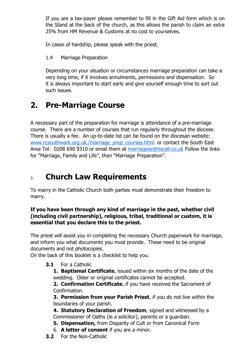If you are a tax-payer please remember to fill in the Gift Aid form which is on the Stand at the back of the church, as this allows the parish to claim an extra 25% from HM Revenue & Customs at no cost to yourselves.

In cases of hardship, please speak with the priest.

1.4 Marriage Preparation

Depending on your situation or circumstances marriage preparation can take a very long time, if it involves annulments, permissions and dispensation. So it is always important to start early and give yourself enough time to sort out such issues.

# **2. Pre-Marriage Course**

A necessary part of the preparation for marriage is attendance of a pre-marriage course. There are a number of courses that run regularly throughout the diocese. There is usually a fee. An up-to-date list can be found on the diocesan website: [www.rcsouthwark.org.uk./marriage\\_prep\\_courses.html.](http://www.rcsouthwark.org.uk./marriage_prep_courses.html) or contact the South East Area Tel: 0208 690 9310 or email them at [marriagese@tiscali.co.uk](mailto:marriagese@tiscali.co.uk) Follow the links for "Marriage, Family and Life", then "Marriage Preparation".

# 3. **Church Law Requirements**

To marry in the Catholic Church both parties must demonstrate their freedom to marry.

#### **If you have been through any kind of marriage in the past, whether civil (including civil partnership), religious, tribal, traditional or custom, it is essential that you declare this to the priest.**

The priest will assist you in completing the necessary Church paperwork for marriage, and inform you what documents you must provide. These need to be original documents and not photocopies.

On the back of this booklet is a checklist to help you.

- **3.1** For a Catholic
	- **1. Baptismal Certificate**, issued within six months of the date of the wedding. Older or original certificates cannot be accepted.

**2. Confirmation Certificate**, if you have received the Sacrament of Confirmation.

**3. Permission from your Parish Priest**, if you do not live within the boundaries of your parish.

- **4. Statutory Declaration of Freedom**, signed and witnessed by a Commissioner of Oaths (ie a solicitor), parents or a guardian.
- **5. Dispensation,** from Disparity of Cult or from Canonical Form
- 6. **A letter of consent** if you are a minor**.**
- **3.2** For the Non-Catholic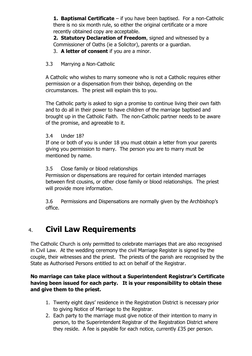**1. Baptismal Certificate** – if you have been baptised. For a non-Catholic there is no six month rule, so either the original certificate or a more recently obtained copy are acceptable.

**2. Statutory Declaration of Freedom**, signed and witnessed by a Commissioner of Oaths (ie a Solicitor), parents or a guardian.

3. **A letter of consent** if you are a minor.

#### 3.3 Marrying a Non-Catholic

A Catholic who wishes to marry someone who is not a Catholic requires either permission or a dispensation from their bishop, depending on the circumstances. The priest will explain this to you.

The Catholic party is asked to sign a promise to continue living their own faith and to do all in their power to have children of the marriage baptised and brought up in the Catholic Faith. The non-Catholic partner needs to be aware of the promise, and agreeable to it.

#### 3.4 Under 18?

If one or both of you is under 18 you must obtain a letter from your parents giving you permission to marry. The person you are to marry must be mentioned by name.

#### 3.5 Close family or blood relationships

Permission or dispensations are required for certain intended marriages between first cousins, or other close family or blood relationships. The priest will provide more information.

3.6 Permissions and Dispensations are normally given by the Archbishop's office.

# 4. **Civil Law Requirements**

The Catholic Church is only permitted to celebrate marriages that are also recognised in Civil Law. At the wedding ceremony the civil Marriage Register is signed by the couple, their witnesses and the priest. The priests of the parish are recognised by the State as Authorised Persons entitled to act on behalf of the Registrar.

#### **No marriage can take place without a Superintendent Registrar's Certificate having been issued for each party. It is your responsibility to obtain these and give them to the priest.**

- 1. Twenty eight days' residence in the Registration District is necessary prior to giving Notice of Marriage to the Registrar.
- 2. Each party to the marriage must give notice of their intention to marry in person, to the Superintendent Registrar of the Registration District where they reside. A fee is payable for each notice, currently £35 per person.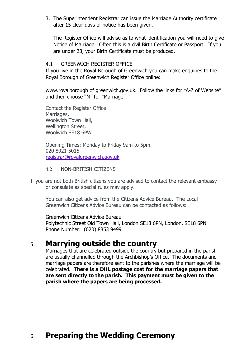3. The Superintendent Registrar can issue the Marriage Authority certificate after 15 clear days of notice has been given.

The Register Office will advise as to what identification you will need to give Notice of Marriage. Often this is a civil Birth Certificate or Passport. If you are under 23, your Birth Certificate must be produced.

#### 4.1 GREENWICH REGISTER OFFICE

If you live in the Royal Borough of Greenwich you can make enquiries to the Royal Borough of Greenwich Register Office online:

www.royalborough of greenwich.gov.uk. Follow the links for "A-Z of Website" and then choose "M" for "Marriage".

Contact the Register Office Marriages, Woolwich Town Hall, Wellington Street, Woolwich SE18 6PW.

Opening Times: Monday to Friday 9am to 5pm. 020 8921 5015 [registrar@royalgreenwich.gov.uk](mailto:registrar@royalgreenwich.gov.uk)

- 4.2 NON-BRITISH CITIZENS
- If you are not both British citizens you are advised to contact the relevant embassy or consulate as special rules may apply.

You can also get advice from the Citizens Advice Bureau. The Local Greenwich Citizens Advice Bureau can be contacted as follows:

Greenwich Citizens Advice Bureau

Polytechnic Street Old Town Hall, London SE18 6PN, London, SE18 6PN Phone Number: (020) 8853 9499

# 5. **Marrying outside the country**

Marriages that are celebrated outside the country but prepared in the parish are usually channelled through the Archbishop's Office. The documents and marriage papers are therefore sent to the parishes where the marriage will be celebrated. **There is a DHL postage cost for the marriage papers that are sent directly to the parish. This payment must be given to the parish where the papers are being processed.**

# 6. **Preparing the Wedding Ceremony**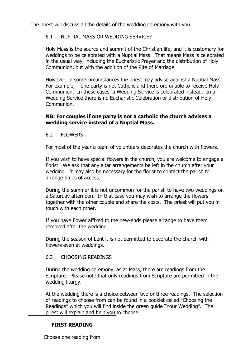The priest will discuss all the details of the wedding ceremony with you.

#### 6.1 NUPTIAL MASS OR WEDDING SERVICE?

Holy Mass is the source and summit of the Christian life, and it is customary for weddings to be celebrated with a Nuptial Mass. That means Mass is celebrated in the usual way, including the Eucharistic Prayer and the distribution of Holy Communion, but with the addition of the Rite of Marriage.

However, in some circumstances the priest may advise against a Nuptial Mass. For example, if one party is not Catholic and therefore unable to receive Holy Communion. In these cases, a Wedding Service is celebrated instead. In a Wedding Service there is no Eucharistic Celebration or distribution of Holy Communion.

#### **NB: For couples if one party is not a catholic the church advises a wedding service instead of a Nuptial Mass.**

#### 6.2 FLOWERS

For most of the year a team of volunteers decorates the church with flowers.

If you wish to have special flowers in the church, you are welcome to engage a florist. We ask that any altar arrangements be left in the church after your wedding. It may also be necessary for the florist to contact the parish to arrange times of access.

During the summer it is not uncommon for the parish to have two weddings on a Saturday afternoon. In that case you may wish to arrange the flowers together with the other couple and share the costs. The priest will put you in touch with each other.

If you have flower affixed to the pew-ends please arrange to have them removed after the wedding.

During the season of Lent it is not permitted to decorate the church with flowers even at weddings.

#### 6.3 CHOOSING READINGS

During the wedding ceremony, as at Mass, there are readings from the Scripture. Please note that only readings from Scripture are permitted in the wedding liturgy.

At the wedding there is a choice between two or three readings. The selection of readings to choose from can be found in a booklet called "Choosing the Readings" which you will find inside the green guide "Your Wedding". The priest will explain and help you to choose.

#### **FIRST READING**

Choose one reading from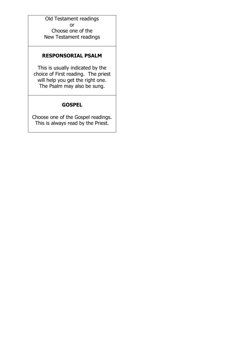Old Testament readings or Choose one of the New Testament readings

#### **RESPONSORIAL PSALM**

This is usually indicated by the choice of First reading. The priest will help you get the right one. The Psalm may also be sung.

#### **GOSPEL**

Choose one of the Gospel readings. This is always read by the Priest.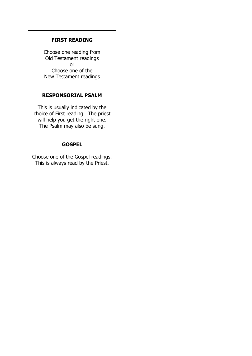#### **FIRST READING**

Choose one reading from Old Testament readings or

Choose one of the New Testament readings

#### **RESPONSORIAL PSALM**

This is usually indicated by the choice of First reading. The priest will help you get the right one. The Psalm may also be sung.

#### **GOSPEL**

Choose one of the Gospel readings. This is always read by the Priest.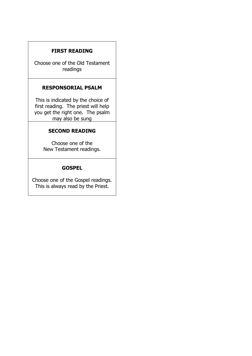#### **FIRST READING**

Choose one of the Old Testament readings

#### **RESPONSORIAL PSALM**

This is indicated by the choice of first reading. The priest will help you get the right one. The psalm may also be sung

#### **SECOND READING**

Choose one of the New Testament readings.

#### **GOSPEL**

Choose one of the Gospel readings. This is always read by the Priest.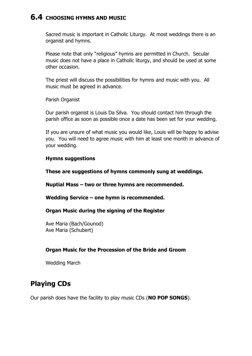### **6.4 CHOOSING HYMNS AND MUSIC**

Sacred music is important in Catholic Liturgy. At most weddings there is an organist and hymns.

Please note that only "religious" hymns are permitted in Church. Secular music does not have a place in Catholic liturgy, and should be used at some other occasion.

The priest will discuss the possibilities for hymns and music with you. All music must be agreed in advance.

Parish Organist

Our parish organist is Louis Da Silva. You should contact him through the parish office as soon as possible once a date has been set for your wedding.

If you are unsure of what music you would like, Louis will be happy to advise you. You will need to agree music with him at least one month in advance of your wedding.

#### **Hymns suggestions**

**These are suggestions of hymns commonly sung at weddings.** 

**Nuptial Mass – two or three hymns are recommended.** 

**Wedding Service – one hymn is recommended.** 

#### **Organ Music during the signing of the Register**

Ave Maria (Bach/Gounod) Ave Maria (Schubert)

#### **Organ Music for the Procession of the Bride and Groom**

Wedding March

### **Playing CDs**

Our parish does have the facility to play music CDs (**NO POP SONGS**).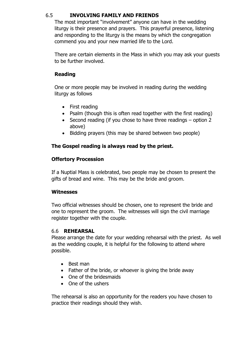#### 6.5 **INVOLVING FAMILY AND FRIENDS**

The most important "involvement" anyone can have in the wedding liturgy is their presence and prayers. This prayerful presence, listening and responding to the liturgy is the means by which the congregation commend you and your new married life to the Lord.

There are certain elements in the Mass in which you may ask your guests to be further involved.

#### **Reading**

One or more people may be involved in reading during the wedding liturgy as follows

- First reading
- Psalm (though this is often read together with the first reading)
- Second reading (if you chose to have three readings option 2 above)
- Bidding prayers (this may be shared between two people)

#### **The Gospel reading is always read by the priest.**

#### **Offertory Procession**

If a Nuptial Mass is celebrated, two people may be chosen to present the gifts of bread and wine. This may be the bride and groom.

#### **Witnesses**

Two official witnesses should be chosen, one to represent the bride and one to represent the groom. The witnesses will sign the civil marriage register together with the couple.

#### 6.6 **REHEARSAL**

Please arrange the date for your wedding rehearsal with the priest. As well as the wedding couple, it is helpful for the following to attend where possible.

- Best man
- Father of the bride, or whoever is giving the bride away
- One of the bridesmaids
- One of the ushers

The rehearsal is also an opportunity for the readers you have chosen to practice their readings should they wish.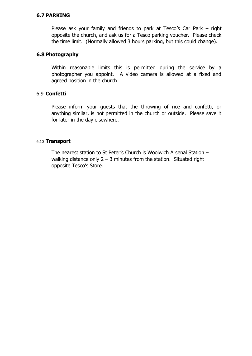#### **6.7 PARKING**

Please ask your family and friends to park at Tesco's Car Park – right opposite the church, and ask us for a Tesco parking voucher. Please check the time limit. (Normally allowed 3 hours parking, but this could change).

#### **6.8 Photography**

Within reasonable limits this is permitted during the service by a photographer you appoint. A video camera is allowed at a fixed and agreed position in the church.

#### 6.9 **Confetti**

Please inform your guests that the throwing of rice and confetti, or anything similar, is not permitted in the church or outside. Please save it for later in the day elsewhere.

#### 6.10 **Transport**

The nearest station to St Peter's Church is Woolwich Arsenal Station – walking distance only  $2 - 3$  minutes from the station. Situated right opposite Tesco's Store.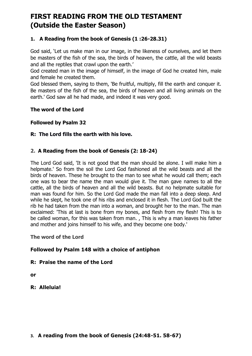# **FIRST READING FROM THE OLD TESTAMENT (Outside the Easter Season)**

#### **1. A Reading from the book of Genesis (1 :26-28.31)**

God said, 'Let us make man in our image, in the likeness of ourselves, and let them be masters of the fish of the sea, the birds of heaven, the cattle, all the wild beasts and all the reptiles that crawl upon the earth.'

God created man in the image of himself, in the image of God he created him, male and female he created them.

God blessed them, saying to them, 'Be fruitful, multiply, fill the earth and conquer it. Be masters of the fish of the sea, the birds of heaven and all living animals on the earth.' God saw all he had made, and indeed it was very good.

#### **The word of the Lord**

#### **Followed by Psalm 32**

#### **R: The Lord fills the earth with his love.**

#### **2. A Reading from the book of Genesis (2: 18-24)**

The Lord God said, 'It is not good that the man should be alone. I will make him a helpmate.' So from the soil the Lord God fashioned all the wild beasts and all the birds of heaven. These he brought to the man to see what he would call them; each one was to bear the name the man would give it. The man gave names to all the cattle, all the birds of heaven and all the wild beasts. But no helpmate suitable for man was found for him. So the Lord God made the man fall into a deep sleep. And while he slept, he took one of his ribs and enclosed it in flesh. The Lord God built the rib he had taken from the man into a woman, and brought her to the man. The man exclaimed: 'This at last is bone from my bones, and flesh from my flesh! This is to be called woman, for this was taken from man. , This is why a man leaves his father and mother and joins himself to his wife, and they become one body.'

#### **The word of the Lord**

#### **Followed by Psalm 148 with a choice of antiphon**

#### **R: Praise the name of the Lord**

**or**

#### **R: Alleluia!**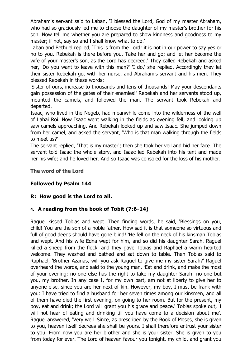Abraham's servant said to Laban, 'I blessed the Lord, God of my master Abraham, who had so graciously led me to choose the daughter of my master's brother for his son. Now tell me whether you are prepared to show kindness and goodness to my master; if not, say so and I shall know what to do.'

Laban and Bethuel replied, 'This is from the Lord; it is not in our power to say yes or no to you. Rebekah is there before you. Take her and go; and let her become the wife of your master's son, as the Lord has decreed.' They called Rebekah and asked her, 'Do you want to leave with this man?' 'I do,' she replied. Accordingly they let their sister Rebekah go, with her nurse, and Abraham's servant and his men. They blessed Rebekah in these words:

'Sister of ours, increase to thousands and tens of thousands! May your descendants gain possession of the gates of their enemies!' Rebekah and her servants stood up, mounted the camels, and followed the man. The servant took Rebekah and departed.

Isaac, who lived in the Negeb, had meanwhile come into the wilderness of the well of Lahai Roi. Now Isaac went walking in the fields as evening fell, and looking up saw camels approaching. And Rebekah looked up and saw Isaac. She jumped down from her camel, and asked the servant, 'Who is that man walking through the fields to meet us?'

The servant replied, 'That is my master'; then she took her veil and hid her face. The servant told Isaac the whole story, and Isaac led Rebekah into his tent and made her his wife; and he loved her. And so Isaac was consoled for the loss of his mother.

#### **The word of the Lord**

#### **Followed by Psalm 144**

#### **R: How good is the Lord to all.**

#### **4. A reading from the book of Tobit (7:6-14)**

Raguel kissed Tobias and wept. Then finding words, he said, 'Blessings on you, child! You are the son of a noble father. How sad it is that someone so virtuous and full of good deeds should have gone blind! 'He fell on the neck of his kinsman Tobias and wept. And his wife Edna wept for him, and so did his daughter Sarah. Raguel killed a sheep from the flock, and they gave Tobias and Raphael a warm hearted welcome. They washed and bathed and sat down to table. Then Tobias said to Raphael, 'Brother Azarias, will you ask Raguel to give me my sister Sarah?' Raguel overheard the words, and said to the young man, 'Eat and drink, and make the most of your evening; no one else has the right to take my daughter Sarah -no one but you, my brother. In any case I, for my own part, am not at liberty to give her to anyone else, since you are her next of kin. However, my boy, I must be frank with you: I have tried to find a husband for her seven times among our kinsmen, and all of them have died the first evening, on going to her room. But for the present, my boy, eat and drink; the Lord will grant you his grace and peace.' Tobias spoke out, 'I will not hear of eating and drinking till you have come to a decision about me'. Raguel answered, 'Very well. Since, as prescribed by the Book of Moses, she is given to you, heaven itself decrees she shall be yours. I shall therefore entrust your sister to you. From now you are her brother and she is your sister. She is given to you from today for ever. The Lord of heaven favour you tonight, my child, and grant you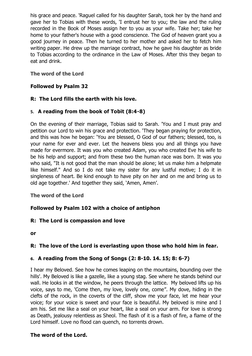his grace and peace. 'Raguel called for his daughter Sarah, took her by the hand and gave her to Tobias with these words, 'I entrust her to you; the law and the ruling recorded in the Book of Moses assign her to you as your wife. Take her; take her home to your father's house with a good conscience. The God of heaven grant you a good journey in peace. Then he turned to her mother and asked her to fetch him writing paper. He drew up the marriage contract, how he gave his daughter as bride to Tobias according to the ordinance in the Law of Moses. After this they began to eat and drink.

#### **The word of the Lord**

#### **Followed by Psalm 32**

#### **R: The Lord fills the earth with his love.**

#### **5. A reading from the book of Tobit (8:4-8)**

On the evening of their marriage, Tobias said to Sarah. 'You and I must pray and petition our Lord to win his grace and protection. 'They began praying for protection, and this was how he began: 'You are blessed, O God of our fathers; blessed, too, is your name for ever and ever. Let the heavens bless you and all things you have made for evermore. It was you who created Adam, you who created Eve his wife to be his help and support; and from these two the human race was born. It was you who said, "It is not good that the man should be alone; let us make him a helpmate like himself." And so I do not take my sister for any lustful motive; I do it in singleness of heart. Be kind enough to have pity on her and on me and bring us to old age together.' And together they said, 'Amen, Amen'.

#### **The word of the Lord**

#### **Followed by Psalm 102 with a choice of antiphon**

#### **R: The Lord is compassion and love**

**or**

#### **R: The love of the Lord is everlasting upon those who hold him in fear.**

#### **6. A reading from the Song of Songs (2: 8-10. 14. 15; 8: 6-7)**

I hear my Beloved. See how he comes leaping on the mountains, bounding over the hills'. My Beloved is like a gazelle, like a young stag. See where he stands behind our wall. He looks in at the window, he peers through the lattice. My beloved lifts up his voice, says to me, 'Come then, my love, lovely one, come". My dove, hiding in the clefts of the rock, in the coverts of the cliff, show me your face, let me hear your voice; for your voice is sweet and your face is beautiful. My beloved is mine and I am his. Set me like a seal on your heart, like a seal on your arm. For love is strong as Death, jealousy relentless as Sheol. The flash of it is a flash of fire, a flame of the Lord himself. Love no flood can quench, no torrents drown.

#### **The word of the Lord.**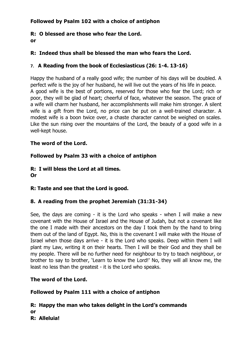#### **Followed by Psalm 102 with a choice of antiphon**

#### **R: O blessed are those who fear the Lord.**

**or**

#### **R: Indeed thus shall be blessed the man who fears the Lord.**

#### **7. A Reading from the book of Ecclesiasticus (26: 1-4. 13-16)**

Happy the husband of a really good wife; the number of his days will be doubled. A perfect wife is the joy of her husband, he will live out the years of his life in peace. A good wife is the best of portions, reserved for those who fear the Lord; rich or poor, they will be glad of heart; cheerful of face, whatever the season. The grace of a wife will charm her husband, her accomplishments will make him stronger. A silent wife is a gift from the Lord, no price can be put on a well-trained character. A modest wife is a boon twice over, a chaste character cannot be weighed on scales. Like the sun rising over the mountains of the Lord, the beauty of a good wife in a well-kept house.

#### **The word of the Lord.**

#### **Followed by Psalm 33 with a choice of antiphon**

### **R: I will bless the Lord at all times.**

**Or** 

#### **R: Taste and see that the Lord is good.**

#### **8. A reading from the prophet Jeremiah (31:31-34)**

See, the days are coming - it is the Lord who speaks - when I will make a new covenant with the House of Israel and the House of Judah, but not a covenant like the one I made with their ancestors on the day I took them by the hand to bring them out of the land of Egypt. No, this is the covenant I will make with the House of Israel when those days arrive - it is the Lord who speaks. Deep within them I will plant my Law, writing it on their hearts. Then I will be their God and they shall be my people. There will be no further need for neighbour to try to teach neighbour, or brother to say to brother, 'Learn to know the Lord!' No, they will all know me, the least no less than the greatest - it is the Lord who speaks.

#### **The word of the Lord.**

#### **Followed by Psalm 111 with a choice of antiphon**

**R: Happy the man who takes delight in the Lord's commands or R: Alleluia!**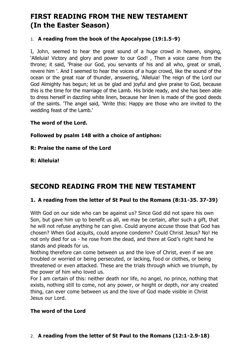# **FIRST READING FROM THE NEW TESTAMENT (In the Easter Season)**

#### 1. **A reading from the book of the Apocalypse (19:1.5-9)**

I, John, seemed to hear the great sound of a huge crowd in heaven, singing, 'Alleluia! Victory and glory and power to our God! , Then a voice came from the throne; it said, 'Praise our God, you servants of his and all who, great or small, revere him '. And I seemed to hear the voices of a huge crowd, like the sound of the ocean or the great roar of thunder, answering, 'Alleluia! The reign of the Lord our God Almighty has begun; let us be glad and joyful and give praise to God, because this is the time for the marriage of the Lamb. His bride ready, and she has been able to dress herself in dazzling white linen, because her linen is made of the good deeds of the saints. 'The angel said, 'Write this: Happy are those who are invited to the wedding feast of the Lamb.'

#### **The word of the Lord.**

**Followed by psalm 148 with a choice of antiphon:**

**R: Praise the name of the Lord**

**R: Alleluia!**

### **SECOND READING FROM THE NEW TESTAMENT**

#### **1. A reading from the letter of St Paul to the Romans (8:31-35. 37-39)**

With God on our side who can be against us? Since God did not spare his own Son, but gave him up to benefit us all, we may be certain, after such a gift, that he will not refuse anything he can give. Could anyone accuse those that God has chosen? When God acquits, could anyone condemn? Could Christ Jesus? No! He not only died for us - he rose from the dead, and there at God's right hand he stands and pleads for us.

Nothing therefore can come between us and the love of Christ, even if we are troubled or worried or being persecuted, or lacking, food or clothes, or being threatened or even attacked. These are the trials through which we triumph, by the power of him who loved us.

For I am certain of this: neither death nor life, no angel, no prince, nothing that exists, nothing still to come, not any power, or height or depth, nor any created thing, can ever come between us and the love of God made visible in Christ Jesus our Lord.

#### **The word of the Lord**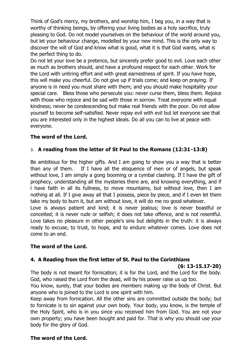Think of God's mercy, my brothers, and worship him, I beg you, in a way that is worthy of thinking beings, by offering your living bodies as a holy sacrifice, truly pleasing to God. Do not model yourselves on the behaviour of the world around you, but let your behaviour change, modelled by your new mind. This is the only way to discover the will of God and know what is good, what it is that God wants, what is the perfect thing to do.

Do not let your love be a pretence, but sincerely prefer good to evil. Love each other as much as brothers should, and have a profound respect for each other. Work for the Lord with untiring effort and with great earnestness of spirit. If you have hope, this will make you cheerful. Do not give up if trials come; and keep on praying. If anyone is in need you must share with them; and you should make hospitality your special care. Bless those who persecute you: never curse them, bless them. Rejoice with those who rejoice and be sad with those in sorrow. Treat everyone with equal kindness; never be condescending but make real friends with the poor. Do not allow yourself to become self-satisfied. Never repay evil with evil but let everyone see that you are interested only in the highest ideals. Do all you can to live at peace with everyone.

#### **The word of the Lord.**

#### 3. **A reading from the letter of St Paul to the Romans (12:31-13:8)**

Be ambitious for the higher gifts. And I am going to show you a way that is better than any of them. If I have all the eloquence of men or of angels, but speak without love, I am simply a gong booming or a cymbal clashing. If I have the gift of prophecy, understanding all the mysteries there are, and knowing everything, and if l have faith in all its fullness, to move mountains, but without love, then I am nothing at all. If I give away all that I possess, piece by piece, and if I even let them take my body to burn it, but am without love, it will do me no good whatever. Love is always patient and kind; it is never jealous; love is never boastful or conceited; it is never rude or selfish; it does not take offence, and is not resentful.

Love takes no pleasure in other people's sins but delights in the truth: it is always ready to excuse, to trust, to hope, and to endure whatever comes. Love does not come to an end.

#### **The word of the Lord.**

#### **4. A Reading from the first letter of St. Paul to the Corinthians**

#### **(6: 13-15.17-20)**

The body is not meant for fornication; it is for the Lord, and the Lord for the body. God, who raised the Lord from the dead, will by his power raise us up too.

You know, surely, that your bodies are members making up the body of Christ. But anyone who is joined to the Lord is one spirit with him.

Keep away from fornication. All the other sins are committed outside the body; but to fornicate is to sin against your own body. Your body, you know, is the temple of the Holy Spirit, who is in you since you received him from God. You are not your own property; you have been bought and paid for. That is why you should use your body for the glory of God.

#### **The word of the Lord.**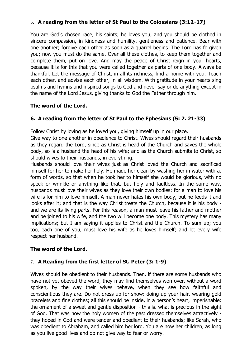#### 5. **A reading from the letter of St Paul to the Colossians (3:12-17)**

You are God's chosen race, his saints; he loves you, and you should be clothed in sincere compassion, in kindness and humility, gentleness and patience. Bear with one another; forgive each other as soon as a quarrel begins. The Lord has forgiven you; now you must do the same. Over all these clothes, to keep them together and complete them, put on love. And may the peace of Christ reign in your hearts, because it is for this that you were called together as parts of one body. Always be thankful. Let the message of Christ, in all its richness, find a home with you. Teach each other, and advise each other, in all wisdom. With gratitude in your hearts sing psalms and hymns and inspired songs to God and never say or do anything except in the name of the Lord Jesus, giving thanks to God the Father through him.

#### **The word of the Lord.**

#### **6. A reading from the letter of St Paul to the Ephesians (5: 2. 21-33)**

Follow Christ by loving as he loved you, giving himself up in our place.

Give way to one another in obedience to Christ. Wives should regard their husbands as they regard the Lord, since as Christ is head of the Church and saves the whole body, so is a husband the head of his wife; and as the Church submits to Christ, so should wives to their husbands, in everything.

Husbands should love their wives just as Christ loved the Church and sacrificed himself for her to make her holy. He made her clean by washing her in water with a. form of words, so that when he took her to himself she would be glorious, with no speck or wrinkle or anything like that, but holy and faultless. In the same way, husbands must love their wives as they love their own bodies: for a man to love his wife is for him to love himself. A man never hates his own body, but he feeds it and looks after it; and that is the way Christ treats the Church, because it is his body and we are its living parts. For this reason, a man must leave his father and mother and be joined to his wife, and the two will become one body. This mystery has many implications; but I am saying it applies to Christ and the Church. To sum up; you too, each one of you, must love his wife as he loves himself; and let every wife respect her husband.

#### **The word of the Lord.**

#### 7. **A Reading from the first letter of St. Peter (3: 1-9)**

Wives should be obedient to their husbands. Then, if there are some husbands who have not yet obeyed the word, they may find themselves won over, without a word spoken, by the way their wives behave, when they see how faithful and conscientious they are. Do not dress up for show: doing up your hair, wearing gold bracelets and fine clothes; all this should be inside, in a person's heart, imperishable: the ornament of a sweet and gentle disposition - this is. what is precious in the sight of God. That was how the holy women of the past dressed themselves attractively they hoped in God and were tender and obedient to their husbands; like Sarah, who was obedient to Abraham, and called him her lord. You are now her children, as long as you live good lives and do not give way to fear or worry.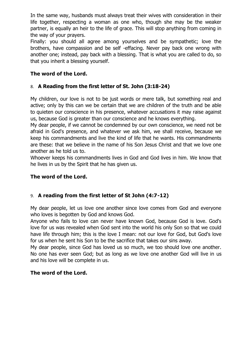In the same way, husbands must always treat their wives with consideration in their life together, respecting a woman as one who, though she may be the weaker partner, is equally an heir to the life of grace. This will stop anything from coming in the way of your prayers.

Finally: you should all agree among yourselves and be sympathetic; love the brothers, have compassion and be self -effacing. Never pay back one wrong with another one; instead, pay back with a blessing. That is what you are called to do, so that you inherit a blessing yourself.

#### **The word of the Lord.**

#### 8. **A Reading from the first letter of St. John (3:18-24)**

My children, our love is not to be just words or mere talk, but something real and active; only by this can we be certain that we are children of the truth and be able to quieten our conscience in his presence, whatever accusations it may raise against us, because God is greater than our conscience and he knows everything.

My dear people, if we cannot be condemned by our own conscience, we need not be afraid in God's presence, and whatever we ask him, we shall receive, because we keep his commandments and live the kind of life that he wants. His commandments are these: that we believe in the name of his Son Jesus Christ and that we love one another as he told us to.

Whoever keeps his commandments lives in God and God lives in him. We know that he lives in us by the Spirit that he has given us.

#### **The word of the Lord.**

#### 9. **A reading from the first letter of St John (4:7-12)**

My dear people, let us love one another since love comes from God and everyone who loves is begotten by God and knows God.

Anyone who fails to love can never have known God, because God is love. God's love for us was revealed when God sent into the world his only Son so that we could have life through him; this is the love I mean: not our love for God, but God's love for us when he sent his Son to be the sacrifice that takes our sins away.

My dear people, since God has loved us so much, we too should love one another. No one has ever seen God; but as long as we love one another God will live in us and his love will be complete in us.

#### **The word of the Lord.**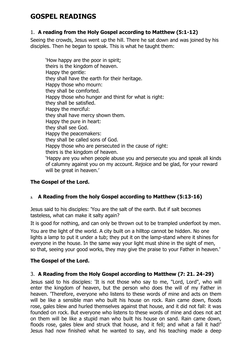## **GOSPEL READINGS**

#### 1. **A reading from the Holy Gospel according to Matthew (5:1-12)**

Seeing the crowds, Jesus went up the hill. There he sat down and was joined by his disciples. Then he began to speak. This is what he taught them:

'How happy are the poor in spirit; theirs is the kingdom of heaven. Happy the gentle: they shall have the earth for their heritage. Happy those who mourn: they shall be comforted. Happy those who hunger and thirst for what is right: they shall be satisfied. Happy the merciful: they shall have mercy shown them. Happy the pure in heart: they shall see God. Happy the peacemakers: they shall be called sons of God. Happy those who are persecuted in the cause of right: theirs is the kingdom of heaven. 'Happy are you when people abuse you and persecute you and speak all kinds of calumny against you on my account. Rejoice and be glad, for your reward will be great in heaven.'

#### **The Gospel of the Lord.**

#### **2. A Reading from the holy Gospel according to Matthew (5:13-16)**

Jesus said to his disciples: 'You are the salt of the earth. But if salt becomes tasteless, what can make it salty again?

It is good for nothing, and can only be thrown out to be trampled underfoot by men.

You are the light of the world. A city built on a hilltop cannot be hidden. No one lights a lamp to put it under a tub; they put it on the lamp-stand where it shines for everyone in the house. In the same way your light must shine in the sight of men, so that, seeing your good works, they may give the praise to your Father in heaven.'

#### **The Gospel of the Lord.**

#### 3. **A Reading from the Holy Gospel according to Matthew (7: 21. 24-29)**

Jesus said to his disciples: 'It is not those who say to me, "Lord, Lord", who will enter the kingdom of heaven, but the person who does the will of my Father in heaven. 'Therefore, everyone who listens to these words of mine and acts on them will be like a sensible man who built his house on rock. Rain came down, floods rose, gales blew and hurled themselves against that house, and it did not fall: it was founded on rock. But everyone who listens to these words of mine and does not act on them will be like a stupid man who built his house on sand. Rain came down, floods rose, gales blew and struck that house, and it fell; and what a fall it had!' Jesus had now finished what he wanted to say, and his teaching made a deep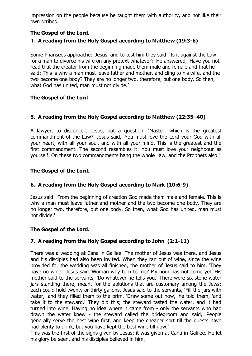impression on the people because he taught them with authority, and not like their own scribes.

#### **The Gospel of the Lord.**

#### 4. **A reading from the Holy Gospel according to Matthew (19:3-6)**

Some Pharisees approached Jesus. and to test him they said. 'Is it against the Law for a man to divorce his wife on any pretext whatever?' He answered, 'Have you not read that the creator from the beginning made them male and female and that he said: This is why a man must leave father and mother, and cling to his wife, and the two become one body? They are no longer two, therefore, but one body. So then, what God has united, man must not divide.'

#### **The Gospel of the Lord**

#### **5. A reading from the Holy Gospel according to Matthew (22:35–40)**

A lawyer, to disconcert Jesus, put a question, 'Master. which is the greatest commandment of the Law?' Jesus said, 'You must love the Lord your God with all your heart, with all your soul, and with all your mind. This is the greatest and the first commandment. The second resembles it: You must love your neighbour as yourself. On these two commandments hang the whole Law, and the Prophets also.'

#### **The Gospel of the Lord.**

#### **6. A reading from the Holy Gospel according to Mark (10:6-9)**

Jesus said. 'From the beginning of creation God made them male and female. This is why a man must leave father and mother and the two become one body. They are no longer two, therefore, but one body. So then, what God has united. man must not divide.'

#### **The Gospel of the Lord.**

#### **7. A reading from the Holy Gospel according to John (2:1-11)**

There was a wedding at Cana in Galilee. The mother of Jesus was there, and Jesus and his disciples had also been invited. When they ran out of wine, since the wine provided for the wedding was all finished, the mother of Jesus said to him, 'They have no wine.' Jesus said 'Woman why turn to me? My hour has not come yet' His mother said to the servants, 'Do whatever he tells you.' There were six stone water jars standing there, meant for the ablutions that are customary among the Jews: each could hold twenty or thirty gallons. Jesus said to the servants, 'Fill the jars with water,' and they filled them to the brim. 'Draw some out now,' he told them, 'and take it to the steward.' They did this; the steward tasted the water, and it had turned into wine. Having no idea where it came from - only the servants who had drawn the water knew - the steward called the bridegroom and said, 'People generally serve the best wine first, and keep the cheaper sort till the guests have had plenty to drink, but you have kept the best wine till now.'

This was the first of the signs given by Jesus: it was given at Cana in Galilee. He let his glory be seen, and his disciples believed in him.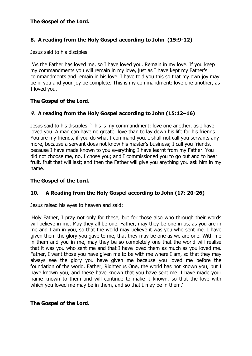#### **The Gospel of the Lord.**

#### **8. A reading from the Holy Gospel according to John (15:9-12)**

Jesus said to his disciples:

'As the Father has loved me, so I have loved you. Remain in my love. If you keep my commandments you will remain in my love, just as I have kept my Father's commandments and remain in his love. I have told you this so that my own joy may be in you and your joy be complete. This is my commandment: love one another, as I loved you.

#### **The Gospel of the Lord.**

#### 9. **A reading from the Holy Gospel according to John (15:12–16)**

Jesus said to his disciples: 'This is my commandment: love one another, as I have loved you. A man can have no greater love than to lay down his life for his friends. You are my friends, if you do what I command you. I shall not call you servants any more, because a servant does not know his master's business; I call you friends, because I have made known to you everything I have learnt from my Father. You did not choose me, no, I chose you; and I commissioned you to go out and to bear fruit, fruit that will last; and then the Father will give you anything you ask him in my name.

#### **The Gospel of the Lord.**

#### **10. A Reading from the Holy Gospel according to John (17: 20-26)**

Jesus raised his eyes to heaven and said:

'Holy Father, I pray not only for these, but for those also who through their words will believe in me. May they all be one. Father, may they be one in us, as you are in me and I am in you, so that the world may believe it was you who sent me. I have given them the glory you gave to me, that they may be one as we are one. With me in them and you in me, may they be so completely one that the world will realise that it was you who sent me and that I have loved them as much as you loved me. Father, I want those you have given me to be with me where I am, so that they may always see the glory you have given me because you loved me before the foundation of the world. Father, Righteous One, the world has not known you, but I have known you, and these have known that you have sent me. I have made your name known to them and will continue to make it known, so that the love with which you loved me may be in them, and so that I may be in them.'

#### **The Gospel of the Lord.**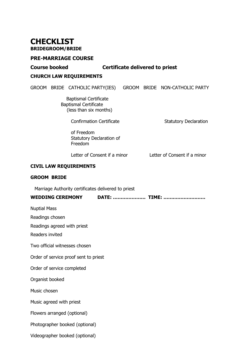### **CHECKLIST BRIDEGROOM/BRIDE**

#### **PRE-MARRIAGE COURSE**

**Course booked Certificate delivered to priest** 

#### **CHURCH LAW REQUIREMENTS**

GROOM BRIDE CATHOLIC PARTY(IES) GROOM BRIDE NON-CATHOLIC PARTY

Baptismal Certificate Baptismal Certificate (less than six months)

Confirmation Certificate Statutory Declaration

of Freedom Statutory Declaration of Freedom

Letter of Consent if a minor<br>
Letter of Consent if a minor

#### **CIVIL LAW REQUIREMENTS**

#### **GROOM BRIDE**

Marriage Authority certificates delivered to priest

**WEDDING CEREMONY DATE: ………………… TIME: ………………………**

Nuptial Mass

Readings chosen

Readings agreed with priest

Readers invited

Two official witnesses chosen

Order of service proof sent to priest

Order of service completed

Organist booked

Music chosen

Music agreed with priest

Flowers arranged (optional)

Photographer booked (optional)

Videographer booked (optional)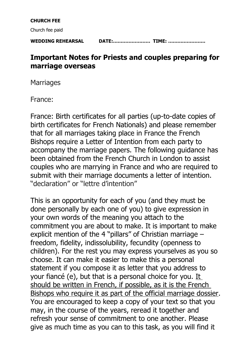**CHURCH FEE**

Church fee paid

**WEDDING REHEARSAL DATE:…………………… TIME: ……………………**

# **Important Notes for Priests and couples preparing for marriage overseas**

**Marriages** 

France:

France: Birth certificates for all parties (up-to-date copies of birth certificates for French Nationals) and please remember that for all marriages taking place in France the French Bishops require a Letter of Intention from each party to accompany the marriage papers. The following guidance has been obtained from the French Church in London to assist couples who are marrying in France and who are required to submit with their marriage documents a letter of intention. "declaration" or "lettre d'intention"

This is an opportunity for each of you (and they must be done personally by each one of you) to give expression in your own words of the meaning you attach to the commitment you are about to make. It is important to make explicit mention of the 4 "pillars" of Christian marriage – freedom, fidelity, indissolubility, fecundity (openness to children). For the rest you may express yourselves as you so choose. It can make it easier to make this a personal statement if you compose it as letter that you address to your fiancé (e), but that is a personal choice for you. It should be written in French, if possible, as it is the French Bishops who require it as part of the official marriage dossier. You are encouraged to keep a copy of your text so that you may, in the course of the years, reread it together and refresh your sense of commitment to one another. Please give as much time as you can to this task, as you will find it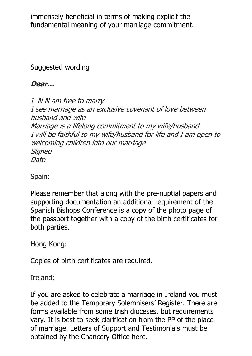immensely beneficial in terms of making explicit the fundamental meaning of your marriage commitment.

Suggested wording

# **Dear…**

I N N am free to marry I see marriage as an exclusive covenant of love between husband and wife Marriage is a lifelong commitment to my wife/husband I will be faithful to my wife/husband for life and I am open to welcoming children into our marriage **Signed Date** 

Spain:

Please remember that along with the pre-nuptial papers and supporting documentation an additional requirement of the Spanish Bishops Conference is a copy of the photo page of the passport together with a copy of the birth certificates for both parties.

Hong Kong:

Copies of birth certificates are required.

Ireland:

If you are asked to celebrate a marriage in Ireland you must be added to the Temporary Solemnisers' Register. There are forms available from some Irish dioceses, but requirements vary. It is best to seek clarification from the PP of the place of marriage. Letters of Support and Testimonials must be obtained by the Chancery Office here.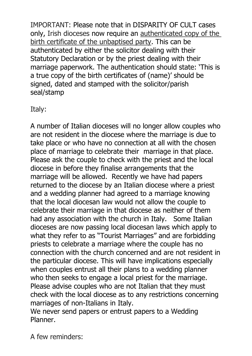IMPORTANT: Please note that in DISPARITY OF CULT cases only, Irish dioceses now require an authenticated copy of the birth certificate of the unbaptised party. This can be authenticated by either the solicitor dealing with their Statutory Declaration or by the priest dealing with their marriage paperwork. The authentication should state: 'This is a true copy of the birth certificates of (name)' should be signed, dated and stamped with the solicitor/parish seal/stamp

# Italy:

A number of Italian dioceses will no longer allow couples who are not resident in the diocese where the marriage is due to take place or who have no connection at all with the chosen place of marriage to celebrate their marriage in that place. Please ask the couple to check with the priest and the local diocese in before they finalise arrangements that the marriage will be allowed. Recently we have had papers returned to the diocese by an Italian diocese where a priest and a wedding planner had agreed to a marriage knowing that the local diocesan law would not allow the couple to celebrate their marriage in that diocese as neither of them had any association with the church in Italy. Some Italian dioceses are now passing local diocesan laws which apply to what they refer to as "Tourist Marriages" and are forbidding priests to celebrate a marriage where the couple has no connection with the church concerned and are not resident in the particular diocese. This will have implications especially when couples entrust all their plans to a wedding planner who then seeks to engage a local priest for the marriage. Please advise couples who are not Italian that they must check with the local diocese as to any restrictions concerning marriages of non-Italians in Italy.

We never send papers or entrust papers to a Wedding Planner.

A few reminders: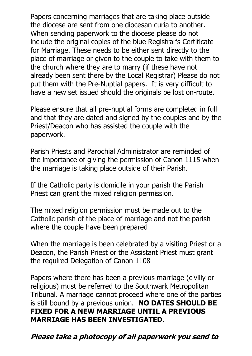Papers concerning marriages that are taking place outside the diocese are sent from one diocesan curia to another. When sending paperwork to the diocese please do not include the original copies of the blue Registrar's Certificate for Marriage. These needs to be either sent directly to the place of marriage or given to the couple to take with them to the church where they are to marry (if these have not already been sent there by the Local Registrar) Please do not put them with the Pre-Nuptial papers. It is very difficult to have a new set issued should the originals be lost on-route.

Please ensure that all pre-nuptial forms are completed in full and that they are dated and signed by the couples and by the Priest/Deacon who has assisted the couple with the paperwork.

Parish Priests and Parochial Administrator are reminded of the importance of giving the permission of Canon 1115 when the marriage is taking place outside of their Parish.

If the Catholic party is domicile in your parish the Parish Priest can grant the mixed religion permission.

The mixed religion permission must be made out to the Catholic parish of the place of marriage and not the parish where the couple have been prepared

When the marriage is been celebrated by a visiting Priest or a Deacon, the Parish Priest or the Assistant Priest must grant the required Delegation of Canon 1108

Papers where there has been a previous marriage (civilly or religious) must be referred to the Southwark Metropolitan Tribunal. A marriage cannot proceed where one of the parties is still bound by a previous union. **NO DATES SHOULD BE FIXED FOR A NEW MARRIAGE UNTIL A PREVIOUS MARRIAGE HAS BEEN INVESTIGATED**.

**Please take a photocopy of all paperwork you send to**